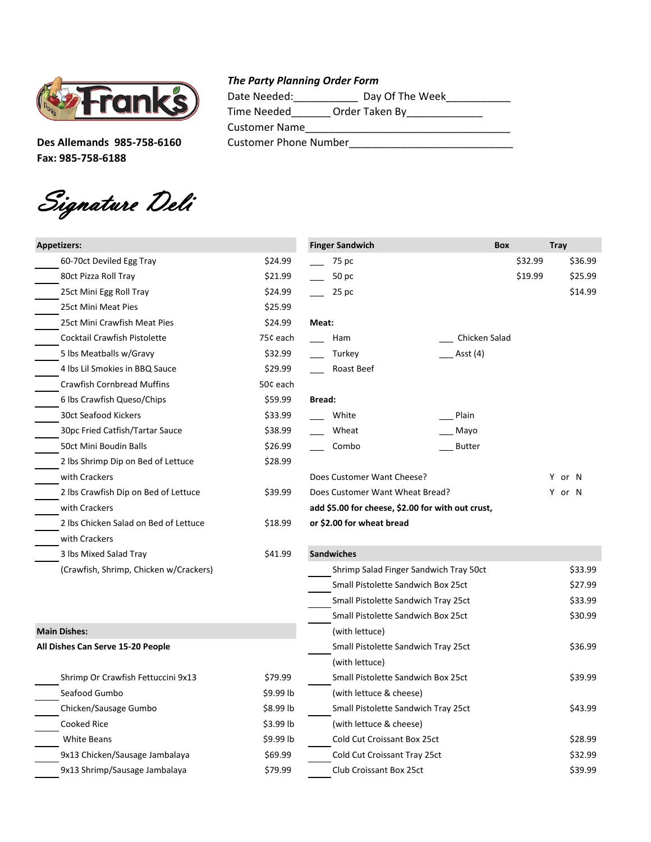

**Fax: 985-758-6188**

Signature Deli

## *The Party Planning Order Form*

| <b>Thomas</b><br><b>2-ranks</b> | Date Needed:          | Day Of The Week |
|---------------------------------|-----------------------|-----------------|
|                                 | Time Needed           | Order Taken By  |
|                                 | <b>Customer Name</b>  |                 |
| Des Allemands 985-758-6160      | Customer Phone Number |                 |
|                                 |                       |                 |

| <b>Appetizers:</b>                     |            | <b>Finger Sandwich</b>                            | <b>Box</b>    |         | <b>Tray</b> |
|----------------------------------------|------------|---------------------------------------------------|---------------|---------|-------------|
| 60-70ct Deviled Egg Tray               | \$24.99    | 75 pc                                             |               | \$32.99 | \$36.99     |
| 80ct Pizza Roll Tray                   | \$21.99    | 50 pc                                             |               | \$19.99 | \$25.99     |
| 25ct Mini Egg Roll Tray                | \$24.99    | $25$ pc                                           |               |         | \$14.99     |
| 25ct Mini Meat Pies                    | \$25.99    |                                                   |               |         |             |
| 25ct Mini Crawfish Meat Pies           | \$24.99    | Meat:                                             |               |         |             |
| Cocktail Crawfish Pistolette           | 75¢ each   | Ham                                               | Chicken Salad |         |             |
| 5 lbs Meatballs w/Gravy                | \$32.99    | Turkey                                            | Asst (4)      |         |             |
| 4 lbs Lil Smokies in BBQ Sauce         | \$29.99    | Roast Beef                                        |               |         |             |
| <b>Crawfish Cornbread Muffins</b>      | 50¢ each   |                                                   |               |         |             |
| 6 lbs Crawfish Queso/Chips             | \$59.99    | <b>Bread:</b>                                     |               |         |             |
| 30ct Seafood Kickers                   | \$33.99    | White                                             | Plain         |         |             |
| 30pc Fried Catfish/Tartar Sauce        | \$38.99    | Wheat                                             | Mayo          |         |             |
| 50ct Mini Boudin Balls                 | \$26.99    | Combo                                             | <b>Butter</b> |         |             |
| 2 lbs Shrimp Dip on Bed of Lettuce     | \$28.99    |                                                   |               |         |             |
| with Crackers                          |            | Does Customer Want Cheese?                        |               |         | Y or N      |
| 2 lbs Crawfish Dip on Bed of Lettuce   | \$39.99    | Does Customer Want Wheat Bread?                   |               |         | Y or N      |
| with Crackers                          |            | add \$5.00 for cheese, \$2.00 for with out crust, |               |         |             |
| 2 lbs Chicken Salad on Bed of Lettuce  | \$18.99    | or \$2.00 for wheat bread                         |               |         |             |
| with Crackers                          |            |                                                   |               |         |             |
| 3 lbs Mixed Salad Tray                 | \$41.99    | <b>Sandwiches</b>                                 |               |         |             |
| (Crawfish, Shrimp, Chicken w/Crackers) |            | Shrimp Salad Finger Sandwich Tray 50ct            |               |         | \$33.99     |
|                                        |            | Small Pistolette Sandwich Box 25ct                |               |         | \$27.99     |
|                                        |            | Small Pistolette Sandwich Tray 25ct               |               |         | \$33.99     |
|                                        |            | Small Pistolette Sandwich Box 25ct                |               |         | \$30.99     |
| <b>Main Dishes:</b>                    |            | (with lettuce)                                    |               |         |             |
| All Dishes Can Serve 15-20 People      |            | Small Pistolette Sandwich Tray 25ct               |               |         | \$36.99     |
|                                        |            | (with lettuce)                                    |               |         |             |
| Shrimp Or Crawfish Fettuccini 9x13     | \$79.99    | Small Pistolette Sandwich Box 25ct                |               |         | \$39.99     |
| Seafood Gumbo                          | \$9.99 lb  | (with lettuce & cheese)                           |               |         |             |
| Chicken/Sausage Gumbo                  | $$8.99$ lb | Small Pistolette Sandwich Tray 25ct               |               |         | \$43.99     |
| Cooked Rice                            | \$3.99 lb  | (with lettuce & cheese)                           |               |         |             |
| <b>White Beans</b>                     | \$9.99 lb  | Cold Cut Croissant Box 25ct                       |               |         | \$28.99     |
| 9x13 Chicken/Sausage Jambalaya         | \$69.99    | Cold Cut Croissant Tray 25ct                      |               |         | \$32.99     |
| 9x13 Shrimp/Sausage Jambalaya          | \$79.99    | Club Croissant Box 25ct                           |               |         | \$39.99     |